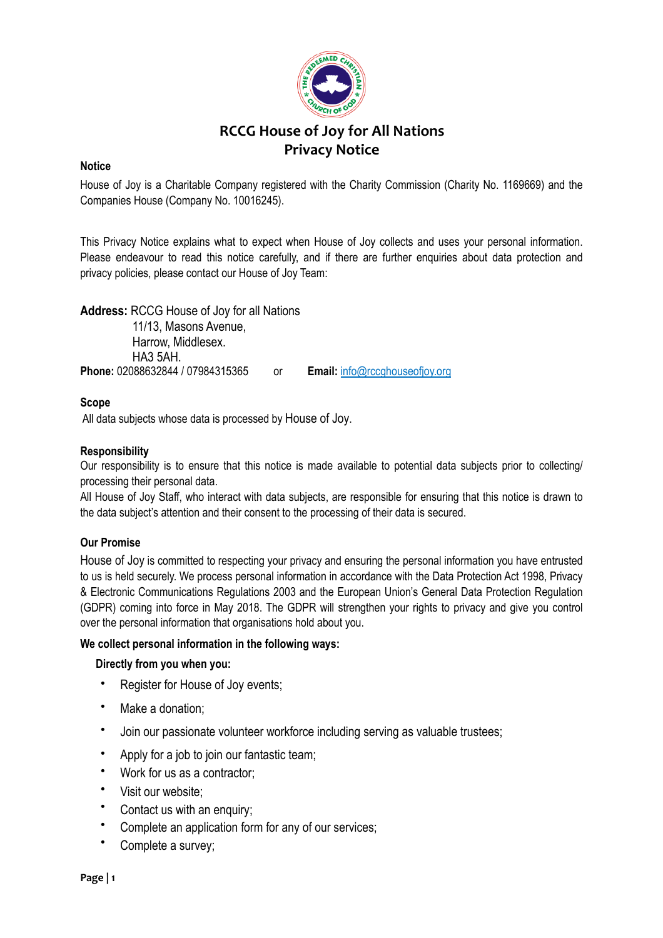

# **RCCG House of Joy for All Nations Privacy Notice**

# **Notice**

House of Joy is a Charitable Company registered with the Charity Commission (Charity No. 1169669) and the Companies House (Company No. 10016245).

This Privacy Notice explains what to expect when House of Joy collects and uses your personal information. Please endeavour to read this notice carefully, and if there are further enquiries about data protection and privacy policies, please contact our House of Joy Team:

**Address:** RCCG House of Joy for all Nations 11/13, Masons Avenue, Harrow, Middlesex. HA3 5AH. **Phone:** 02088632844 / 07984315365 or **Email:** info@rccghouseofjoy.org

# **Scope**

All data subjects whose data is processed by House of Joy.

## **Responsibility**

Our responsibility is to ensure that this notice is made available to potential data subjects prior to collecting/ processing their personal data.

All House of Joy Staff, who interact with data subjects, are responsible for ensuring that this notice is drawn to the data subject's attention and their consent to the processing of their data is secured.

## **Our Promise**

House of Joy is committed to respecting your privacy and ensuring the personal information you have entrusted to us is held securely. We process personal information in accordance with the Data Protection Act 1998, Privacy & Electronic Communications Regulations 2003 and the European Union's General Data Protection Regulation (GDPR) coming into force in May 2018. The GDPR will strengthen your rights to privacy and give you control over the personal information that organisations hold about you.

## **We collect personal information in the following ways:**

## **Directly from you when you:**

- Register for House of Joy events;
- Make a donation;
- Join our passionate volunteer workforce including serving as valuable trustees;
- Apply for a job to join our fantastic team;
- Work for us as a contractor;
- Visit our website;
- Contact us with an enquiry;
- Complete an application form for any of our services;
- Complete a survey;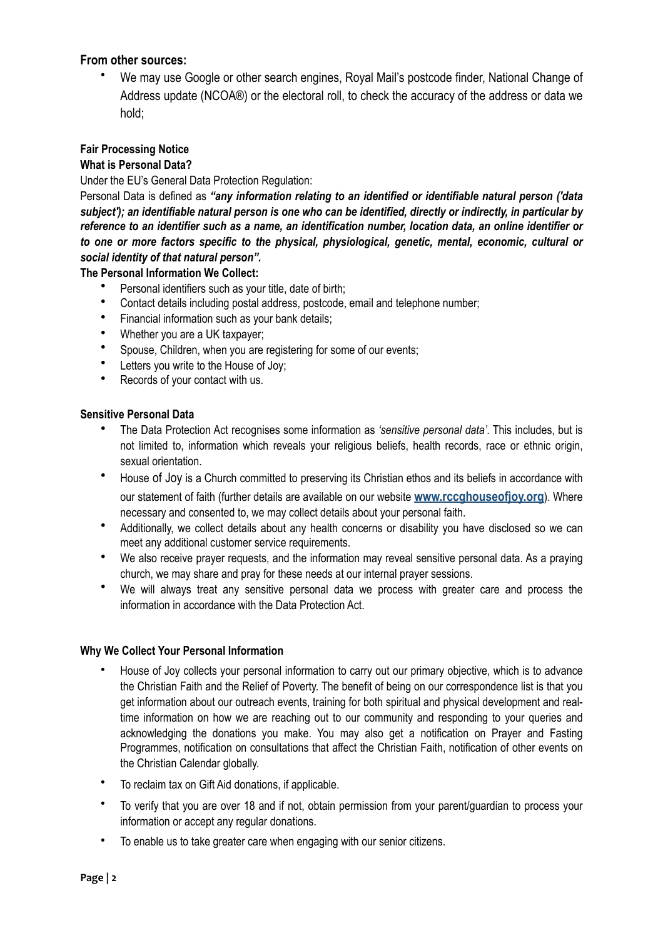# **From other sources:**

• We may use Google or other search engines, Royal Mail's postcode finder, National Change of Address update (NCOA®) or the electoral roll, to check the accuracy of the address or data we hold;

# **Fair Processing Notice**

## **What is Personal Data?**

Under the EU's General Data Protection Regulation:

Personal Data is defined as *"any information relating to an identified or identifiable natural person ('data subject'); an identifiable natural person is one who can be identified, directly or indirectly, in particular by reference to an identifier such as a name, an identification number, location data, an online identifier or to one or more factors specific to the physical, physiological, genetic, mental, economic, cultural or social identity of that natural person".* 

## **The Personal Information We Collect:**

- Personal identifiers such as your title, date of birth;
- Contact details including postal address, postcode, email and telephone number;
- Financial information such as your bank details;
- Whether you are a UK taxpayer;
- Spouse, Children, when you are registering for some of our events;
- Letters you write to the House of Joy:
- Records of your contact with us.

## **Sensitive Personal Data**

- The Data Protection Act recognises some information as *'sensitive personal data'*. This includes, but is not limited to, information which reveals your religious beliefs, health records, race or ethnic origin, sexual orientation.
- House of Joy is a Church committed to preserving its Christian ethos and its beliefs in accordance with our statement of faith (further details are available on our website **[www.rccghouseofjoy.org](http://www.rccghouseofjoy.org)**). Where necessary and consented to, we may collect details about your personal faith.
- Additionally, we collect details about any health concerns or disability you have disclosed so we can meet any additional customer service requirements.
- We also receive prayer requests, and the information may reveal sensitive personal data. As a praying church, we may share and pray for these needs at our internal prayer sessions.
- We will always treat any sensitive personal data we process with greater care and process the information in accordance with the Data Protection Act.

## **Why We Collect Your Personal Information**

- House of Joy collects your personal information to carry out our primary objective, which is to advance the Christian Faith and the Relief of Poverty. The benefit of being on our correspondence list is that you get information about our outreach events, training for both spiritual and physical development and realtime information on how we are reaching out to our community and responding to your queries and acknowledging the donations you make. You may also get a notification on Prayer and Fasting Programmes, notification on consultations that affect the Christian Faith, notification of other events on the Christian Calendar globally.
- To reclaim tax on Gift Aid donations, if applicable.
- To verify that you are over 18 and if not, obtain permission from your parent/guardian to process your information or accept any regular donations.
- To enable us to take greater care when engaging with our senior citizens.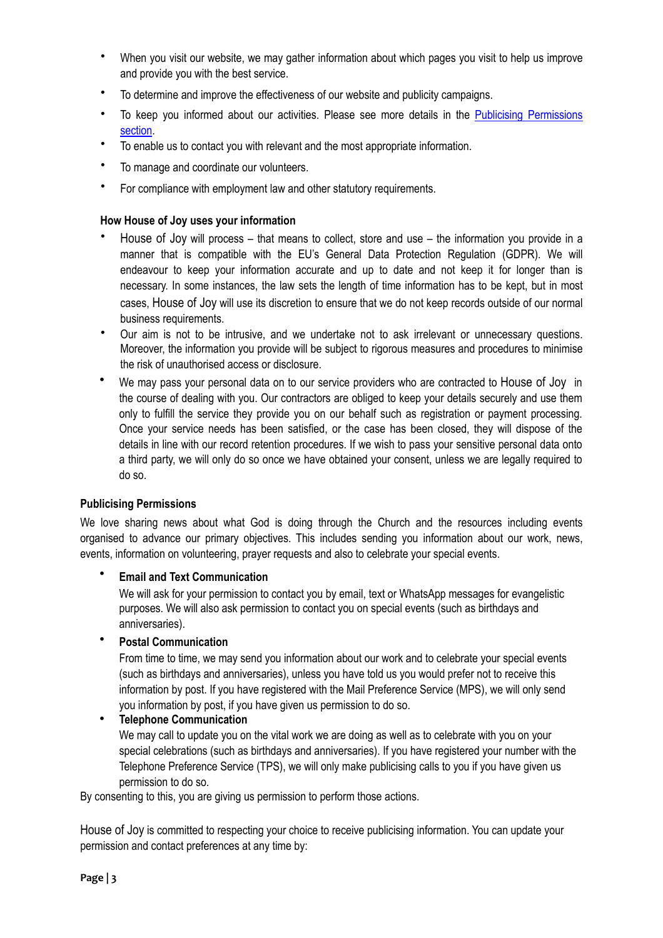- When you visit our website, we may gather information about which pages you visit to help us improve and provide you with the best service.
- To determine and improve the effectiveness of our website and publicity campaigns.
- To keep you informed about our activities. Please see more details in the [Publicising Permissions](#page-2-0)  [section.](#page-2-0)
- To enable us to contact you with relevant and the most appropriate information.
- To manage and coordinate our volunteers.
- For compliance with employment law and other statutory requirements.

#### **How House of Joy uses your information**

- House of Joy will process that means to collect, store and use the information you provide in a manner that is compatible with the EU's General Data Protection Regulation (GDPR). We will endeavour to keep your information accurate and up to date and not keep it for longer than is necessary. In some instances, the law sets the length of time information has to be kept, but in most cases, House of Joy will use its discretion to ensure that we do not keep records outside of our normal business requirements.
- Our aim is not to be intrusive, and we undertake not to ask irrelevant or unnecessary questions. Moreover, the information you provide will be subject to rigorous measures and procedures to minimise the risk of unauthorised access or disclosure.
- We may pass your personal data on to our service providers who are contracted to House of Joy in the course of dealing with you. Our contractors are obliged to keep your details securely and use them only to fulfill the service they provide you on our behalf such as registration or payment processing. Once your service needs has been satisfied, or the case has been closed, they will dispose of the details in line with our record retention procedures. If we wish to pass your sensitive personal data onto a third party, we will only do so once we have obtained your consent, unless we are legally required to do so.

#### <span id="page-2-0"></span>**Publicising Permissions**

We love sharing news about what God is doing through the Church and the resources including events organised to advance our primary objectives. This includes sending you information about our work, news, events, information on volunteering, prayer requests and also to celebrate your special events.

#### • **Email and Text Communication**

We will ask for your permission to contact you by email, text or WhatsApp messages for evangelistic purposes. We will also ask permission to contact you on special events (such as birthdays and anniversaries).

# • **Postal Communication**

From time to time, we may send you information about our work and to celebrate your special events (such as birthdays and anniversaries), unless you have told us you would prefer not to receive this information by post. If you have registered with the Mail Preference Service (MPS), we will only send you information by post, if you have given us permission to do so.

• **Telephone Communication**

We may call to update you on the vital work we are doing as well as to celebrate with you on your special celebrations (such as birthdays and anniversaries). If you have registered your number with the Telephone Preference Service (TPS), we will only make publicising calls to you if you have given us permission to do so.

By consenting to this, you are giving us permission to perform those actions.

House of Joy is committed to respecting your choice to receive publicising information. You can update your permission and contact preferences at any time by: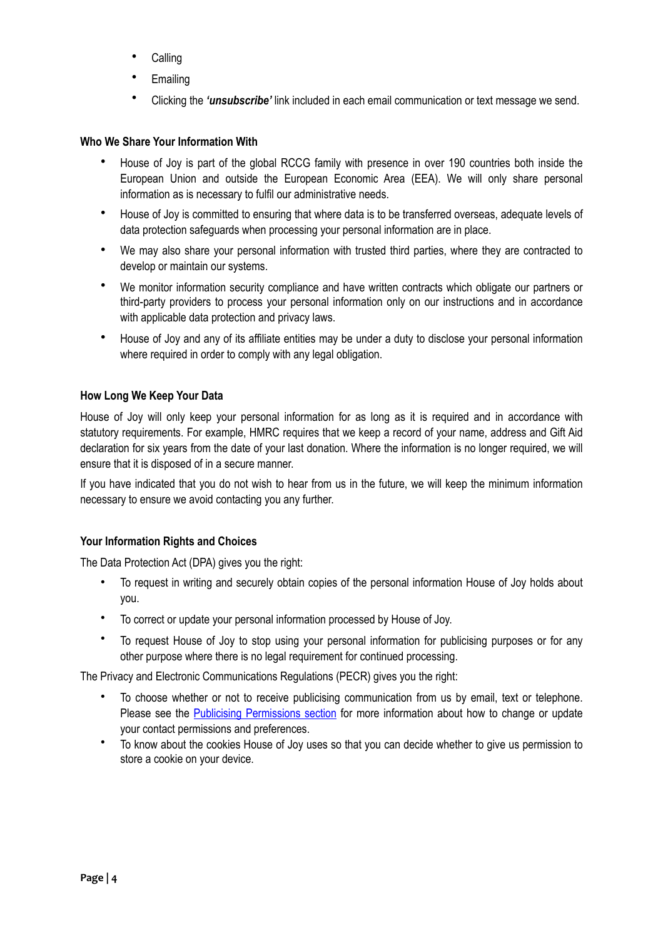- Calling
- **Emailing**
- Clicking the *'unsubscribe'* link included in each email communication or text message we send.

#### **Who We Share Your Information With**

- House of Joy is part of the global RCCG family with presence in over 190 countries both inside the European Union and outside the European Economic Area (EEA). We will only share personal information as is necessary to fulfil our administrative needs.
- House of Joy is committed to ensuring that where data is to be transferred overseas, adequate levels of data protection safeguards when processing your personal information are in place.
- We may also share your personal information with trusted third parties, where they are contracted to develop or maintain our systems.
- We monitor information security compliance and have written contracts which obligate our partners or third-party providers to process your personal information only on our instructions and in accordance with applicable data protection and privacy laws.
- House of Joy and any of its affiliate entities may be under a duty to disclose your personal information where required in order to comply with any legal obligation.

## **How Long We Keep Your Data**

House of Joy will only keep your personal information for as long as it is required and in accordance with statutory requirements. For example, HMRC requires that we keep a record of your name, address and Gift Aid declaration for six years from the date of your last donation. Where the information is no longer required, we will ensure that it is disposed of in a secure manner.

If you have indicated that you do not wish to hear from us in the future, we will keep the minimum information necessary to ensure we avoid contacting you any further.

#### **Your Information Rights and Choices**

The Data Protection Act (DPA) gives you the right:

- To request in writing and securely obtain copies of the personal information House of Joy holds about you.
- To correct or update your personal information processed by House of Joy.
- To request House of Joy to stop using your personal information for publicising purposes or for any other purpose where there is no legal requirement for continued processing.

The Privacy and Electronic Communications Regulations (PECR) gives you the right:

- To choose whether or not to receive publicising communication from us by email, text or telephone. Please see the [Publicising Permissions section](#page-2-0) for more information about how to change or update your contact permissions and preferences.
- To know about the cookies House of Joy uses so that you can decide whether to give us permission to store a cookie on your device.